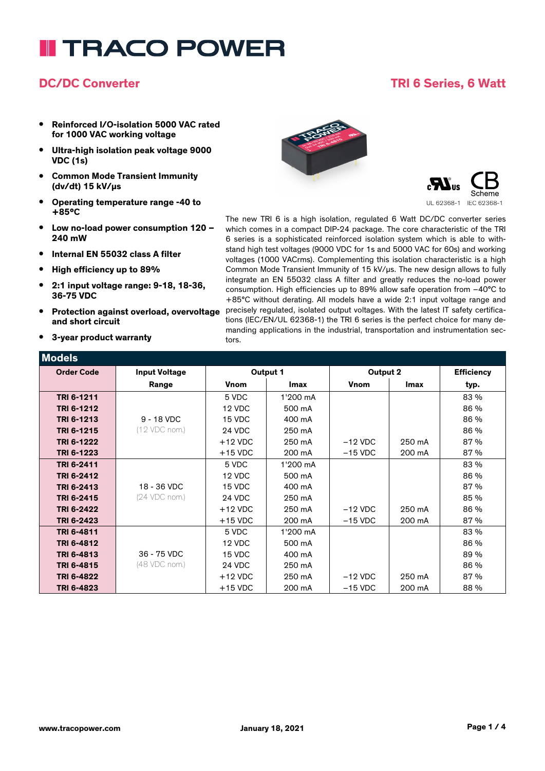# **I TRACO POWER**

#### **DC/DC Converter TRI 6 Series, 6 Watt**

- **• Reinforced I/O-isolation 5000 VAC rated for 1000 VAC working voltage**
- **• Ultra-high isolation peak voltage 9000 VDC (1s)**
- **• Common Mode Transient Immunity (dv/dt) 15 kV/µs**
- **• Operating temperature range -40 to +85°C**
- **• Low no-load power consumption 120 – 240 mW**
- **• Internal EN 55032 class A filter**
- **• High efficiency up to 89%**
- **• 2:1 input voltage range: 9-18, 18-36, 36-75 VDC**
- **• Protection against overload, overvoltage and short circuit**
- **• 3-year product warranty**





The new TRI 6 is a high isolation, regulated 6 Watt DC/DC converter series which comes in a compact DIP-24 package. The core characteristic of the TRI 6 series is a sophisticated reinforced isolation system which is able to withstand high test voltages (9000 VDC for 1s and 5000 VAC for 60s) and working voltages (1000 VACrms). Complementing this isolation characteristic is a high Common Mode Transient Immunity of 15 kV/us. The new design allows to fully integrate an EN 55032 class A filter and greatly reduces the no-load power consumption. High efficiencies up to 89% allow safe operation from –40°C to +85°C without derating. All models have a wide 2:1 input voltage range and precisely regulated, isolated output voltages. With the latest IT safety certifications (IEC/EN/UL 62368-1) the TRI 6 series is the perfect choice for many demanding applications in the industrial, transportation and instrumentation sectors.

| <b>Models</b>     |                      |             |             |             |             |                   |
|-------------------|----------------------|-------------|-------------|-------------|-------------|-------------------|
| <b>Order Code</b> | <b>Input Voltage</b> | Output 1    |             | Output 2    |             | <b>Efficiency</b> |
|                   | Range                | <b>Vnom</b> | <b>Imax</b> | <b>Vnom</b> | <b>Imax</b> | typ.              |
| TRI 6-1211        |                      | 5 VDC       | 1'200 mA    |             |             | 83 %              |
| TRI 6-1212        |                      | 12 VDC      | 500 mA      |             |             | 86 %              |
| TRI 6-1213        | $9 - 18$ VDC         | 15 VDC      | 400 mA      |             |             | 86 %              |
| TRI 6-1215        | (12 VDC nom.)        | 24 VDC      | 250 mA      |             |             | 86 %              |
| TRI 6-1222        |                      | $+12$ VDC   | 250 mA      | $-12$ VDC   | 250 mA      | 87 %              |
| TRI 6-1223        |                      | $+15$ VDC   | 200 mA      | $-15$ VDC   | 200 mA      | 87 %              |
| TRI 6-2411        |                      | 5 VDC       | 1'200 mA    |             |             | 83 %              |
| TRI 6-2412        |                      | 12 VDC      | 500 mA      |             |             | 86 %              |
| TRI 6-2413        | 18 - 36 VDC          | 15 VDC      | 400 mA      |             |             | 87 %              |
| TRI 6-2415        | (24 VDC nom.)        | 24 VDC      | 250 mA      |             |             | 85 %              |
| TRI 6-2422        |                      | $+12$ VDC   | 250 mA      | $-12$ VDC   | 250 mA      | 86 %              |
| TRI 6-2423        |                      | $+15$ VDC   | 200 mA      | $-15$ VDC   | 200 mA      | 87 %              |
| TRI 6-4811        |                      | 5 VDC       | 1'200 mA    |             |             | 83 %              |
| TRI 6-4812        |                      | 12 VDC      | 500 mA      |             |             | 86 %              |
| TRI 6-4813        | 36 - 75 VDC          | 15 VDC      | 400 mA      |             |             | 89 %              |
| TRI 6-4815        | (48 VDC nom.)        | 24 VDC      | 250 mA      |             |             | 86 %              |
| TRI 6-4822        |                      | $+12$ VDC   | 250 mA      | $-12$ VDC   | 250 mA      | 87 %              |
| TRI 6-4823        |                      | $+15$ VDC   | 200 mA      | $-15$ VDC   | 200 mA      | 88 %              |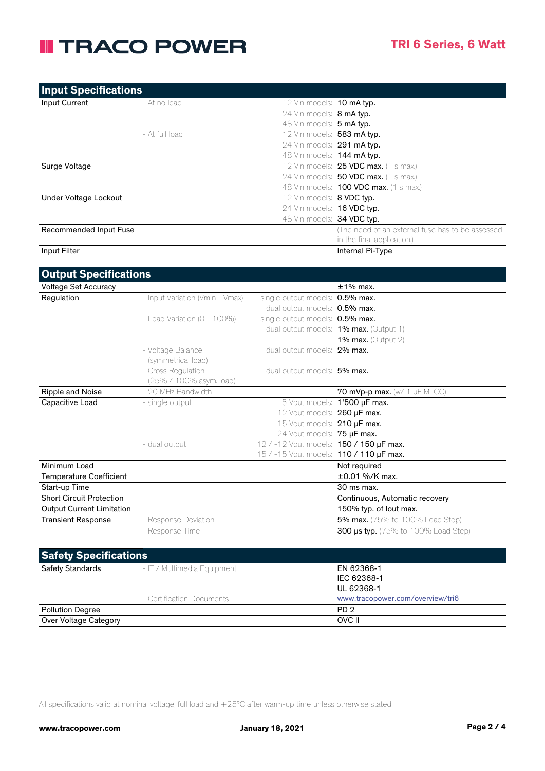## **II TRACO POWER**

| <b>Input Specifications</b> |                |                                   |                                                   |
|-----------------------------|----------------|-----------------------------------|---------------------------------------------------|
| Input Current               | - At no load   | 12 Vin models: <b>10 mA typ.</b>  |                                                   |
|                             |                | 24 Vin models: 8 mA typ.          |                                                   |
|                             |                | 48 Vin models: 5 mA typ.          |                                                   |
|                             | - At full load | 12 Vin models: 583 mA typ.        |                                                   |
|                             |                | 24 Vin models: 291 mA typ.        |                                                   |
|                             |                | 48 Vin models: <b>144 mA typ.</b> |                                                   |
| Surge Voltage               |                |                                   | 12 Vin models: <b>25 VDC max.</b> (1 s max.)      |
|                             |                |                                   | 24 Vin models: <b>50 VDC max.</b> (1 s max.)      |
|                             |                |                                   | 48 Vin models: <b>100 VDC max.</b> (1 s max.)     |
| Under Voltage Lockout       |                | 12 Vin models: 8 VDC typ.         |                                                   |
|                             |                | 24 Vin models: 16 VDC typ.        |                                                   |
|                             |                | 48 Vin models: <b>34 VDC typ.</b> |                                                   |
| Recommended Input Fuse      |                |                                   | (The need of an external fuse has to be assessed) |
|                             |                |                                   | in the final application.)                        |
| Input Filter                |                |                                   | Internal Pi-Type                                  |

| <b>Output Specifications</b>     |                                               |                                         |                                            |
|----------------------------------|-----------------------------------------------|-----------------------------------------|--------------------------------------------|
| <b>Voltage Set Accuracy</b>      |                                               |                                         | $±1\%$ max.                                |
| Regulation                       | - Input Variation (Vmin - Vmax)               | single output models: 0.5% max.         |                                            |
|                                  |                                               | dual output models: 0.5% max.           |                                            |
|                                  | - Load Variation ( $0 - 100\%$ )              | single output models: 0.5% max.         |                                            |
|                                  |                                               |                                         | dual output models: 1% max. (Output 1)     |
|                                  |                                               |                                         | 1% max. (Output $2$ )                      |
|                                  | - Voltage Balance                             | dual output models: 2% max.             |                                            |
|                                  | (symmetrical load)                            |                                         |                                            |
|                                  | - Cross Regulation<br>(25% / 100% asym. load) | dual output models: 5% max.             |                                            |
| <b>Ripple and Noise</b>          | - 20 MHz Bandwidth                            |                                         | 70 mVp-p max. $(w / 1 \mu F$ MLCC)         |
| Capacitive Load                  | - single output                               |                                         | 5 Vout models: 1'500 µF max.               |
|                                  |                                               | 12 Vout models: 260 µF max.             |                                            |
|                                  |                                               | 15 Vout models: 210 µF max.             |                                            |
|                                  |                                               | 24 Vout models: 75 µF max.              |                                            |
|                                  | - dual output                                 | 12 / -12 Vout models: 150 / 150 µF max. |                                            |
|                                  |                                               | 15 / -15 Vout models: 110 / 110 µF max. |                                            |
| Minimum Load                     |                                               |                                         | Not required                               |
| <b>Temperature Coefficient</b>   |                                               |                                         | $\pm 0.01$ %/K max.                        |
| Start-up Time                    |                                               |                                         | 30 ms max.                                 |
| <b>Short Circuit Protection</b>  |                                               |                                         | Continuous, Automatic recovery             |
| <b>Output Current Limitation</b> |                                               |                                         | 150% typ. of lout max.                     |
| <b>Transient Response</b>        | - Response Deviation                          |                                         | 5% max. (75% to 100% Load Step)            |
|                                  | - Response Time                               |                                         | <b>300 us typ.</b> (75% to 100% Load Step) |
|                                  |                                               |                                         |                                            |
| <b>Safety Specifications</b>     |                                               |                                         |                                            |
| <b>Safety Standards</b>          | - IT / Multimedia Equipment                   |                                         | EN 62368-1                                 |
|                                  |                                               |                                         | IEC 62368-1                                |
|                                  |                                               |                                         | $H = 20260 +$                              |

|                           | UL 62368-1                       |
|---------------------------|----------------------------------|
| - Certification Documents | www.tracopower.com/overview/tri6 |
| <b>Pollution Degree</b>   | PD <sub>2</sub>                  |
| Over Voltage Category     | OVC II                           |

All specifications valid at nominal voltage, full load and +25°C after warm-up time unless otherwise stated.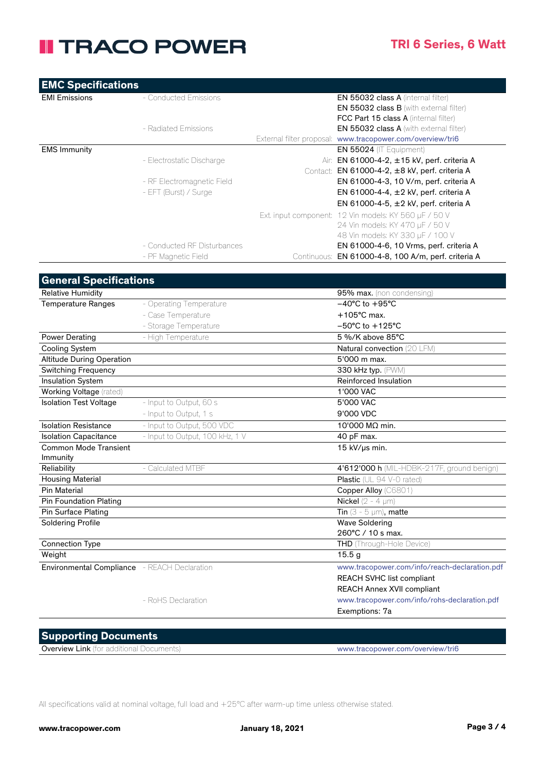## **II TRACO POWER**

| <b>EMC Specifications</b>                                      |                                 |                                                                        |
|----------------------------------------------------------------|---------------------------------|------------------------------------------------------------------------|
| <b>EMI Emissions</b>                                           | - Conducted Emissions           | EN 55032 class A (internal filter)                                     |
|                                                                |                                 | EN 55032 class B (with external filter)                                |
|                                                                |                                 | FCC Part 15 class A (internal filter)                                  |
|                                                                | - Radiated Emissions            | EN 55032 class A (with external filter)                                |
| <b>EMS Immunity</b>                                            |                                 | External filter proposal: www.tracopower.com/overview/tri6             |
|                                                                | - Electrostatic Discharge       | EN 55024 (IT Equipment)<br>Air: EN 61000-4-2, ±15 kV, perf. criteria A |
|                                                                |                                 | Contact: EN 61000-4-2, ±8 kV, perf. criteria A                         |
|                                                                | - RF Electromagnetic Field      | EN 61000-4-3, 10 V/m, perf. criteria A                                 |
|                                                                | - EFT (Burst) / Surge           | EN 61000-4-4, ±2 kV, perf. criteria A                                  |
|                                                                |                                 | EN 61000-4-5, ±2 kV, perf. criteria A                                  |
|                                                                |                                 | Ext. input component: 12 Vin models: KY 560 µF / 50 V                  |
|                                                                |                                 | 24 Vin models: KY 470 µF / 50 V                                        |
|                                                                |                                 | 48 Vin models: KY 330 µF / 100 V                                       |
|                                                                | - Conducted RF Disturbances     | EN 61000-4-6, 10 Vrms, perf. criteria A                                |
|                                                                | - PF Magnetic Field             | Continuous: EN 61000-4-8, 100 A/m, perf. criteria A                    |
|                                                                |                                 |                                                                        |
| <b>General Specifications</b>                                  |                                 |                                                                        |
| <b>Relative Humidity</b>                                       |                                 | 95% max. (non condensing)                                              |
| <b>Temperature Ranges</b>                                      | - Operating Temperature         | $-40^{\circ}$ C to +95°C                                               |
|                                                                | - Case Temperature              | $+105^{\circ}$ C max.                                                  |
|                                                                | - Storage Temperature           | $-50^{\circ}$ C to $+125^{\circ}$ C                                    |
| <b>Power Derating</b>                                          | - High Temperature              | 5 %/K above 85°C                                                       |
| Cooling System                                                 |                                 | Natural convection (20 LFM)<br>5'000 m max.                            |
| <b>Altitude During Operation</b><br><b>Switching Frequency</b> |                                 | 330 kHz typ. (PWM)                                                     |
| Insulation System                                              |                                 | Reinforced Insulation                                                  |
| Working Voltage (rated)                                        |                                 | 1'000 VAC                                                              |
| <b>Isolation Test Voltage</b>                                  | - Input to Output, 60 s         | 5'000 VAC                                                              |
|                                                                | - Input to Output, 1 s          | 9'000 VDC                                                              |
| <b>Isolation Resistance</b>                                    | - Input to Output, 500 VDC      | 10'000 MΩ min.                                                         |
| <b>Isolation Capacitance</b>                                   | - Input to Output, 100 kHz, 1 V | 40 pF max.                                                             |
| <b>Common Mode Transient</b>                                   |                                 | 15 kV/µs min.                                                          |
| Immunity                                                       |                                 |                                                                        |
| Reliability                                                    | - Calculated MTBF               | 4'612'000 h (MIL-HDBK-217F, ground benign)                             |
| <b>Housing Material</b>                                        |                                 | Plastic (UL 94 V-0 rated)                                              |
| <b>Pin Material</b>                                            |                                 | Copper Alloy (C6801)                                                   |
| <b>Pin Foundation Plating</b>                                  |                                 | Nickel $(2 - 4 \mu m)$                                                 |
| Pin Surface Plating                                            |                                 | Tin $(3 - 5 \mu m)$ , matte                                            |
| <b>Soldering Profile</b>                                       |                                 | <b>Wave Soldering</b>                                                  |
|                                                                |                                 | 260°C / 10 s max.                                                      |
| <b>Connection Type</b><br>Weight                               |                                 | THD (Through-Hole Device)<br>15.5 <sub>g</sub>                         |
| Environmental Compliance - REACH Declaration                   |                                 | www.tracopower.com/info/reach-declaration.pdf                          |
|                                                                |                                 | REACH SVHC list compliant                                              |
|                                                                |                                 | REACH Annex XVII compliant                                             |
|                                                                | - RoHS Declaration              | www.tracopower.com/info/rohs-declaration.pdf                           |
|                                                                |                                 | Exemptions: 7a                                                         |
|                                                                |                                 |                                                                        |

### **Supporting Documents**

Overview Link (for additional Documents) www.tracopower.com/overview/tri6

All specifications valid at nominal voltage, full load and +25°C after warm-up time unless otherwise stated.